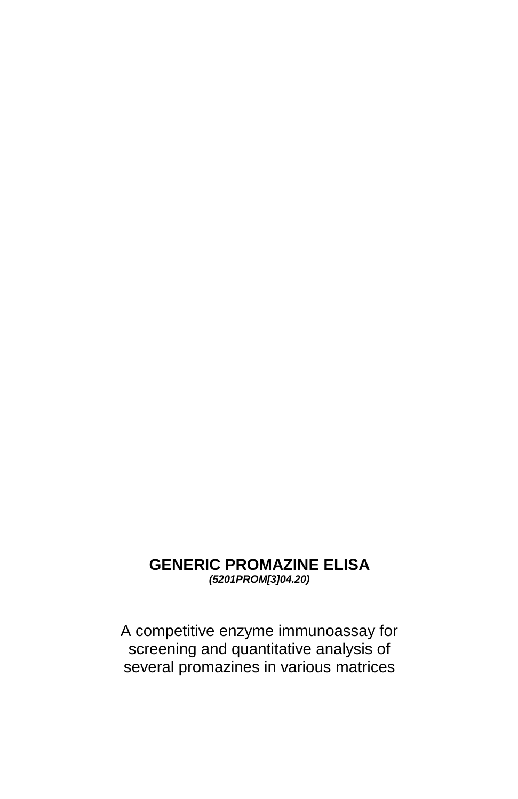# **GENERIC PROMAZINE ELISA**

*(5201PROM[3]04.20)*

A competitive enzyme immunoassay for screening and quantitative analysis of several promazines in various matrices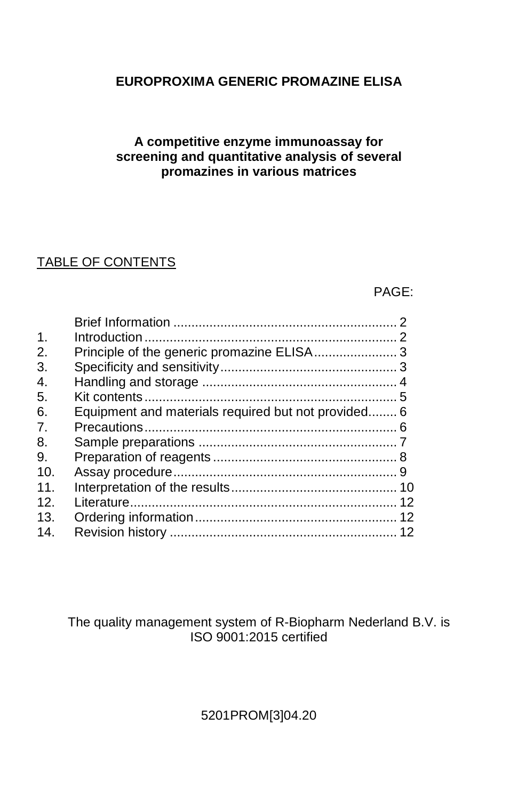## **EUROPROXIMA GENERIC PROMAZINE ELISA**

## **A competitive enzyme immunoassay for screening and quantitative analysis of several promazines in various matrices**

## TABLE OF CONTENTS

PAGE:

| $\mathbf{1}$ . |                                                     |  |
|----------------|-----------------------------------------------------|--|
| 2.             |                                                     |  |
| 3.             |                                                     |  |
| 4.             |                                                     |  |
| 5.             |                                                     |  |
| 6.             | Equipment and materials required but not provided 6 |  |
| 7 <sub>1</sub> |                                                     |  |
| 8.             |                                                     |  |
| 9.             |                                                     |  |
| 10.            |                                                     |  |
| 11.            |                                                     |  |
| 12.            |                                                     |  |
| 13.            |                                                     |  |
| 14.            |                                                     |  |
|                |                                                     |  |

## The quality management system of R-Biopharm Nederland B.V. is ISO 9001:2015 certified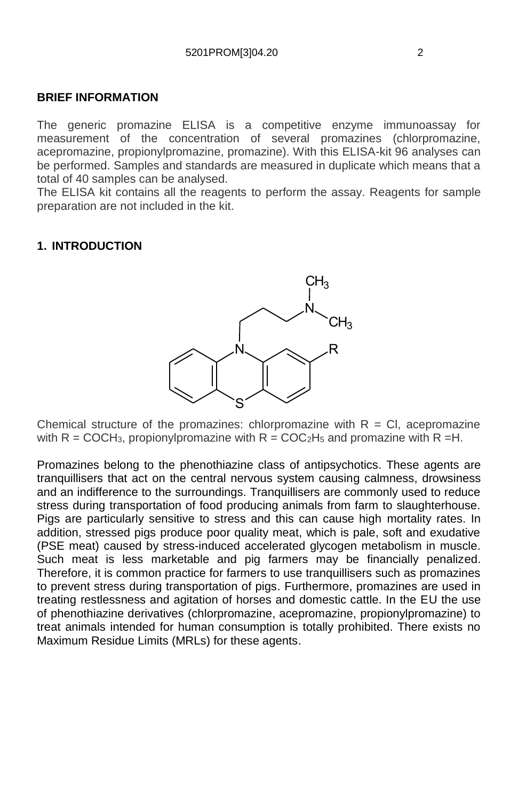#### **BRIEF INFORMATION**

The generic promazine ELISA is a competitive enzyme immunoassay for measurement of the concentration of several promazines (chlorpromazine, acepromazine, propionylpromazine, promazine). With this ELISA-kit 96 analyses can be performed. Samples and standards are measured in duplicate which means that a total of 40 samples can be analysed.

The ELISA kit contains all the reagents to perform the assay. Reagents for sample preparation are not included in the kit.

#### **1. INTRODUCTION**



Chemical structure of the promazines: chlorpromazine with  $R = Cl$ , acepromazine with  $R = COCH<sub>3</sub>$ , propionylpromazine with  $R = COC<sub>2</sub>H<sub>5</sub>$  and promazine with  $R = H$ .

Promazines belong to the [phenothiazine](http://en.wikipedia.org/wiki/Phenothiazine) class of [antipsychotics.](http://en.wikipedia.org/wiki/Antipsychotics) These agents are tranquillisers that act on the central nervous system causing calmness, drowsiness and an indifference to the surroundings. Tranquillisers are commonly used to reduce stress during transportation of food producing animals from farm to slaughterhouse. Pigs are particularly sensitive to stress and this can cause high mortality rates. In addition, stressed pigs produce poor quality meat, which is pale, soft and exudative (PSE meat) caused by stress-induced accelerated glycogen metabolism in muscle. Such meat is less marketable and pig farmers may be financially penalized. Therefore, it is common practice for farmers to use tranquillisers such as promazines to prevent stress during transportation of pigs. Furthermore, promazines are used in treating restlessness and agitation of horses and domestic cattle. In the EU the use of phenothiazine derivatives (chlorpromazine, acepromazine, propionylpromazine) to treat animals intended for human consumption is totally prohibited. There exists no Maximum Residue Limits (MRLs) for these agents.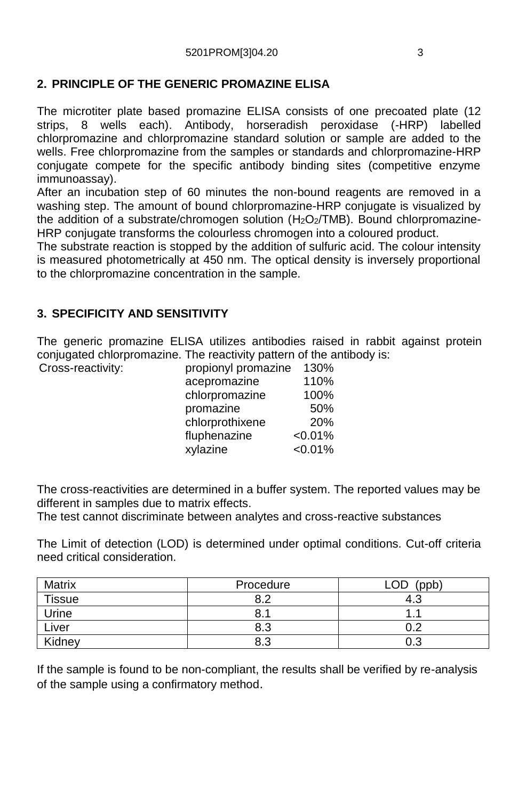## **2. PRINCIPLE OF THE GENERIC PROMAZINE ELISA**

The microtiter plate based promazine ELISA consists of one precoated plate (12 strips, 8 wells each). Antibody, horseradish peroxidase (-HRP) labelled chlorpromazine and chlorpromazine standard solution or sample are added to the wells. Free chlorpromazine from the samples or standards and chlorpromazine-HRP conjugate compete for the specific antibody binding sites (competitive enzyme immunoassay).

After an incubation step of 60 minutes the non-bound reagents are removed in a washing step. The amount of bound chlorpromazine-HRP conjugate is visualized by the addition of a substrate/chromogen solution (H<sub>2</sub>O<sub>2</sub>/TMB). Bound chlorpromazine-HRP conjugate transforms the colourless chromogen into a coloured product.

The substrate reaction is stopped by the addition of sulfuric acid. The colour intensity is measured photometrically at 450 nm. The optical density is inversely proportional to the chlorpromazine concentration in the sample.

## **3. SPECIFICITY AND SENSITIVITY**

The generic promazine ELISA utilizes antibodies raised in rabbit against protein conjugated chlorpromazine. The reactivity pattern of the antibody is: Cross-reactivity:

| propionyl promazine | 130%    |
|---------------------|---------|
| acepromazine        | 110%    |
| chlorpromazine      | 100%    |
| promazine           | 50%     |
| chlorprothixene     | 20%     |
| fluphenazine        | < 0.01% |
| xylazine            | < 0.01% |

The cross-reactivities are determined in a buffer system. The reported values may be different in samples due to matrix effects.

The test cannot discriminate between analytes and cross-reactive substances

The Limit of detection (LOD) is determined under optimal conditions. Cut-off criteria need critical consideration.

| Matrix        | Procedure    | LOD<br>(ppb) |
|---------------|--------------|--------------|
| <b>Tissue</b> | $\circ$<br>ົ | -4.ప         |
| Urine         | 8.           |              |
| Liver         | 8.3          | 0.2          |
| Kidney        | 8.3          | 0.3          |

If the sample is found to be non-compliant, the results shall be verified by re-analysis of the sample using a confirmatory method.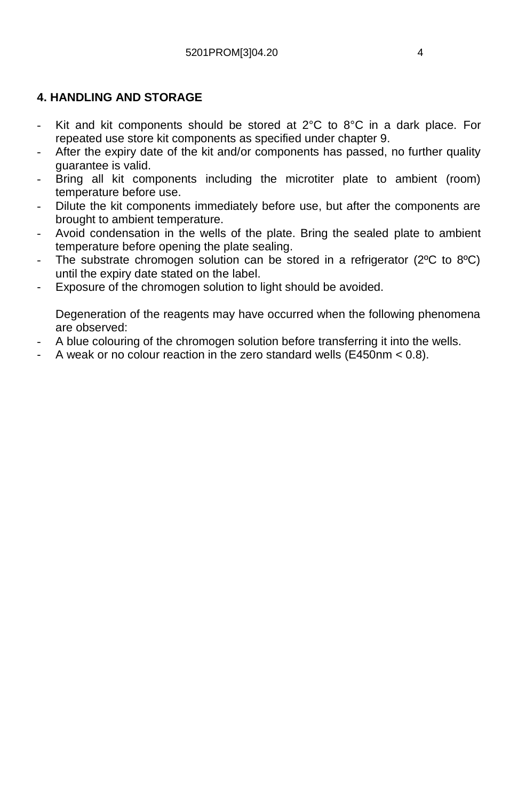## **4. HANDLING AND STORAGE**

- Kit and kit components should be stored at  $2^{\circ}$ C to  $8^{\circ}$ C in a dark place. For repeated use store kit components as specified under chapter 9.
- After the expiry date of the kit and/or components has passed, no further quality guarantee is valid.
- Bring all kit components including the microtiter plate to ambient (room) temperature before use.
- Dilute the kit components immediately before use, but after the components are brought to ambient temperature.
- Avoid condensation in the wells of the plate. Bring the sealed plate to ambient temperature before opening the plate sealing.
- The substrate chromogen solution can be stored in a refrigerator ( $2^{\circ}$ C to  $8^{\circ}$ C) until the expiry date stated on the label.
- Exposure of the chromogen solution to light should be avoided.

Degeneration of the reagents may have occurred when the following phenomena are observed:

- A blue colouring of the chromogen solution before transferring it into the wells.
- A weak or no colour reaction in the zero standard wells (E450nm < 0.8).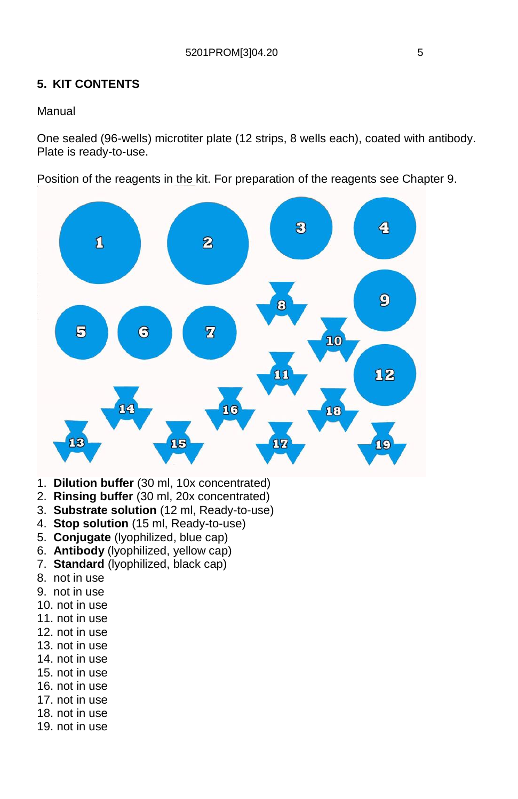## **5. KIT CONTENTS**

#### Manual

One sealed (96-wells) microtiter plate (12 strips, 8 wells each), coated with antibody. Plate is ready-to-use.

Position of the reagents in the kit. For preparation of the reagents see Chapter 9.



- 1. **Dilution buffer** (30 ml, 10x concentrated)
- 2. **Rinsing buffer** (30 ml, 20x concentrated)
- 3. **Substrate solution** (12 ml, Ready-to-use)
- 4. **Stop solution** (15 ml, Ready-to-use)
- 5. **Conjugate** (lyophilized, blue cap)
- 6. **Antibody** (lyophilized, yellow cap)
- 7. **Standard** (lyophilized, black cap)
- 8. not in use
- 9. not in use
- 10. not in use
- 11. not in use
- 12. not in use
- 13. not in use
- 14. not in use
- 15. not in use
- 16. not in use
- 17. not in use
- 18. not in use
- 19. not in use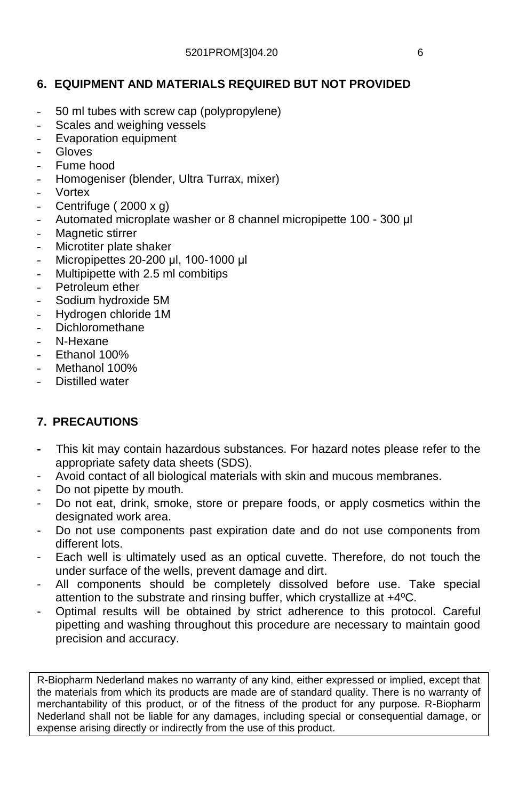## **6. EQUIPMENT AND MATERIALS REQUIRED BUT NOT PROVIDED**

- 50 ml tubes with screw cap (polypropylene)
- Scales and weighing vessels
- Evaporation equipment
- Gloves
- Fume hood
- Homogeniser (blender, Ultra Turrax, mixer)
- Vortex
- Centrifuge ( $2000 \times g$ )
- Automated microplate washer or 8 channel micropipette 100 300 μl
- Magnetic stirrer
- Microtiter plate shaker
- Micropipettes 20-200 μl, 100-1000 μl
- Multipipette with 2.5 ml combitips
- Petroleum ether
- Sodium hydroxide 5M
- Hydrogen chloride 1M
- Dichloromethane
- N-Hexane
- Ethanol 100%
- Methanol 100%
- Distilled water

## **7. PRECAUTIONS**

- This kit may contain hazardous substances. For hazard notes please refer to the appropriate safety data sheets (SDS).
- Avoid contact of all biological materials with skin and mucous membranes.
- Do not pipette by mouth.
- Do not eat, drink, smoke, store or prepare foods, or apply cosmetics within the designated work area.
- Do not use components past expiration date and do not use components from different lots.
- Each well is ultimately used as an optical cuvette. Therefore, do not touch the under surface of the wells, prevent damage and dirt.
- All components should be completely dissolved before use. Take special attention to the substrate and rinsing buffer, which crystallize at +4ºC.
- Optimal results will be obtained by strict adherence to this protocol. Careful pipetting and washing throughout this procedure are necessary to maintain good precision and accuracy.

R-Biopharm Nederland makes no warranty of any kind, either expressed or implied, except that the materials from which its products are made are of standard quality. There is no warranty of merchantability of this product, or of the fitness of the product for any purpose. R-Biopharm Nederland shall not be liable for any damages, including special or consequential damage, or expense arising directly or indirectly from the use of this product.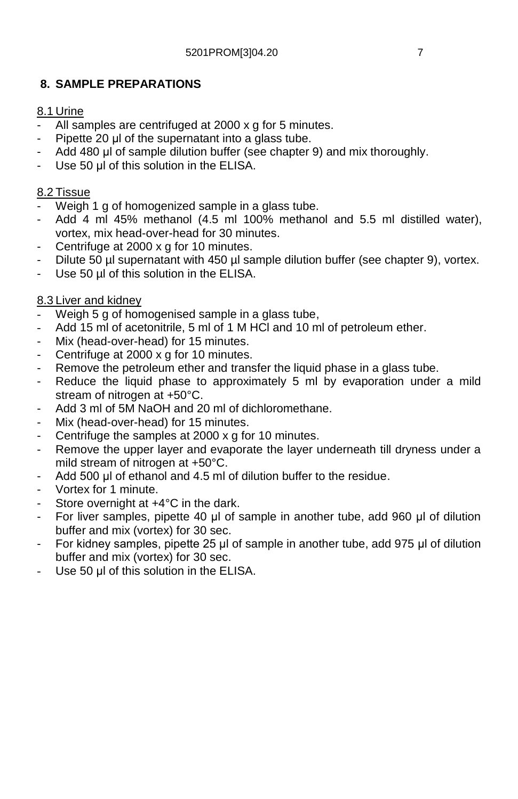## **8. SAMPLE PREPARATIONS**

#### 8.1 Urine

- All samples are centrifuged at 2000 x g for 5 minutes.
- Pipette 20 μl of the supernatant into a glass tube.
- Add 480 μl of sample dilution buffer (see chapter 9) and mix thoroughly.
- Use 50 μl of this solution in the ELISA.

#### 8.2 Tissue

- Weigh 1 g of homogenized sample in a glass tube.
- Add 4 ml 45% methanol (4.5 ml 100% methanol and 5.5 ml distilled water), vortex, mix head-over-head for 30 minutes.
- Centrifuge at 2000 x g for 10 minutes.
- Dilute 50 µl supernatant with 450 µl sample dilution buffer (see chapter 9), vortex.
- Use 50 µl of this solution in the ELISA.

#### 8.3 Liver and kidney

- Weigh 5 g of homogenised sample in a glass tube,
- Add 15 ml of acetonitrile, 5 ml of 1 M HCl and 10 ml of petroleum ether.
- Mix (head-over-head) for 15 minutes.
- Centrifuge at 2000 x g for 10 minutes.
- Remove the petroleum ether and transfer the liquid phase in a glass tube.
- Reduce the liquid phase to approximately 5 ml by evaporation under a mild stream of nitrogen at +50°C.
- Add 3 ml of 5M NaOH and 20 ml of dichloromethane.
- Mix (head-over-head) for 15 minutes.
- Centrifuge the samples at 2000 x g for 10 minutes.
- Remove the upper layer and evaporate the layer underneath till dryness under a mild stream of nitrogen at +50°C.
- Add 500 μl of ethanol and 4.5 ml of dilution buffer to the residue.
- Vortex for 1 minute.
- Store overnight at +4°C in the dark.
- For liver samples, pipette 40 μl of sample in another tube, add 960 μl of dilution buffer and mix (vortex) for 30 sec.
- For kidney samples, pipette 25 μl of sample in another tube, add 975 μl of dilution buffer and mix (vortex) for 30 sec.
- Use 50 μl of this solution in the ELISA.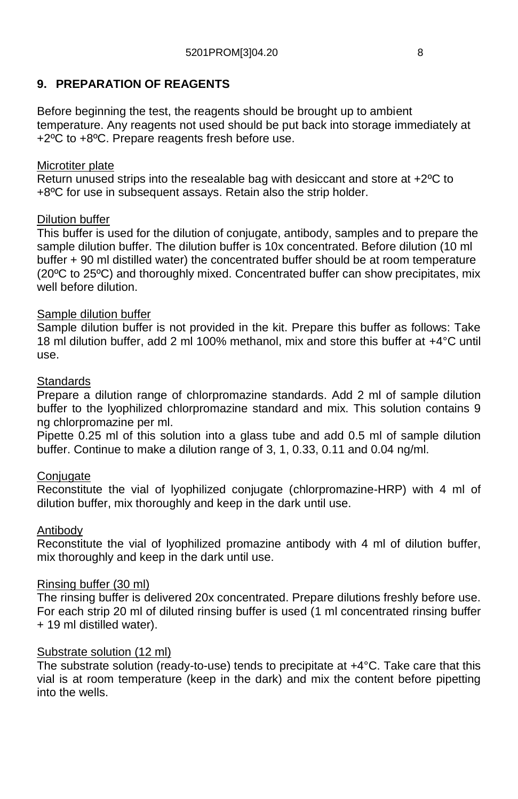## **9. PREPARATION OF REAGENTS**

Before beginning the test, the reagents should be brought up to ambient temperature. Any reagents not used should be put back into storage immediately at +2ºC to +8ºC. Prepare reagents fresh before use.

#### Microtiter plate

Return unused strips into the resealable bag with desiccant and store at +2ºC to +8ºC for use in subsequent assays. Retain also the strip holder.

#### Dilution buffer

This buffer is used for the dilution of conjugate, antibody, samples and to prepare the sample dilution buffer. The dilution buffer is 10x concentrated. Before dilution (10 ml buffer + 90 ml distilled water) the concentrated buffer should be at room temperature (20ºC to 25ºC) and thoroughly mixed. Concentrated buffer can show precipitates, mix well before dilution.

#### Sample dilution buffer

Sample dilution buffer is not provided in the kit. Prepare this buffer as follows: Take 18 ml dilution buffer, add 2 ml 100% methanol, mix and store this buffer at +4°C until use.

#### **Standards**

Prepare a dilution range of chlorpromazine standards. Add 2 ml of sample dilution buffer to the lyophilized chlorpromazine standard and mix. This solution contains 9 ng chlorpromazine per ml.

Pipette 0.25 ml of this solution into a glass tube and add 0.5 ml of sample dilution buffer. Continue to make a dilution range of 3, 1, 0.33, 0.11 and 0.04 ng/ml.

#### Conjugate

Reconstitute the vial of lyophilized conjugate (chlorpromazine-HRP) with 4 ml of dilution buffer, mix thoroughly and keep in the dark until use.

#### Antibody

Reconstitute the vial of lyophilized promazine antibody with 4 ml of dilution buffer, mix thoroughly and keep in the dark until use.

#### Rinsing buffer (30 ml)

The rinsing buffer is delivered 20x concentrated. Prepare dilutions freshly before use. For each strip 20 ml of diluted rinsing buffer is used (1 ml concentrated rinsing buffer + 19 ml distilled water).

#### Substrate solution (12 ml)

The substrate solution (ready-to-use) tends to precipitate at  $+4\degree C$ . Take care that this vial is at room temperature (keep in the dark) and mix the content before pipetting into the wells.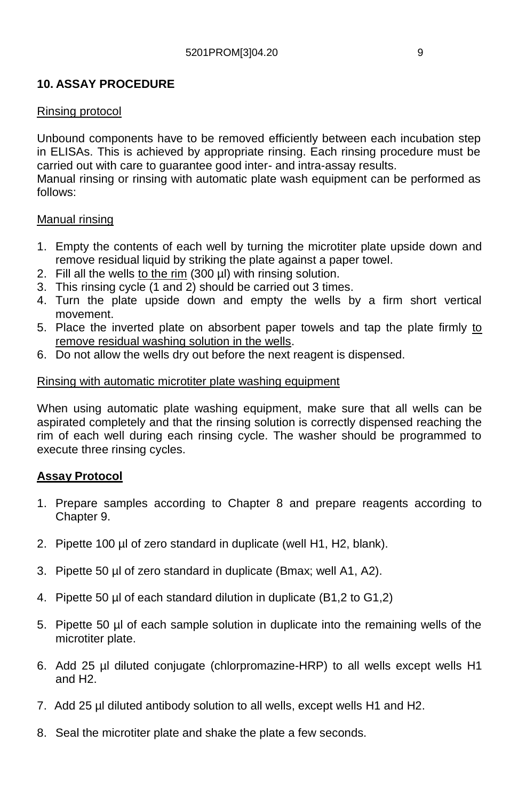## **10. ASSAY PROCEDURE**

#### Rinsing protocol

Unbound components have to be removed efficiently between each incubation step in ELISAs. This is achieved by appropriate rinsing. Each rinsing procedure must be carried out with care to guarantee good inter- and intra-assay results.

Manual rinsing or rinsing with automatic plate wash equipment can be performed as follows:

#### Manual rinsing

- 1. Empty the contents of each well by turning the microtiter plate upside down and remove residual liquid by striking the plate against a paper towel.
- 2. Fill all the wells to the rim (300 µl) with rinsing solution.
- 3. This rinsing cycle (1 and 2) should be carried out 3 times.
- 4. Turn the plate upside down and empty the wells by a firm short vertical movement.
- 5. Place the inverted plate on absorbent paper towels and tap the plate firmly to remove residual washing solution in the wells.
- 6. Do not allow the wells dry out before the next reagent is dispensed.

#### Rinsing with automatic microtiter plate washing equipment

When using automatic plate washing equipment, make sure that all wells can be aspirated completely and that the rinsing solution is correctly dispensed reaching the rim of each well during each rinsing cycle. The washer should be programmed to execute three rinsing cycles.

#### **Assay Protocol**

- 1. Prepare samples according to Chapter 8 and prepare reagents according to Chapter 9.
- 2. Pipette 100 µl of zero standard in duplicate (well H1, H2, blank).
- 3. Pipette 50 µl of zero standard in duplicate (Bmax; well A1, A2).
- 4. Pipette 50 µl of each standard dilution in duplicate (B1,2 to G1,2)
- 5. Pipette 50 µl of each sample solution in duplicate into the remaining wells of the microtiter plate.
- 6. Add 25 µl diluted conjugate (chlorpromazine-HRP) to all wells except wells H1 and H2.
- 7. Add 25 µl diluted antibody solution to all wells, except wells H1 and H2.
- 8. Seal the microtiter plate and shake the plate a few seconds.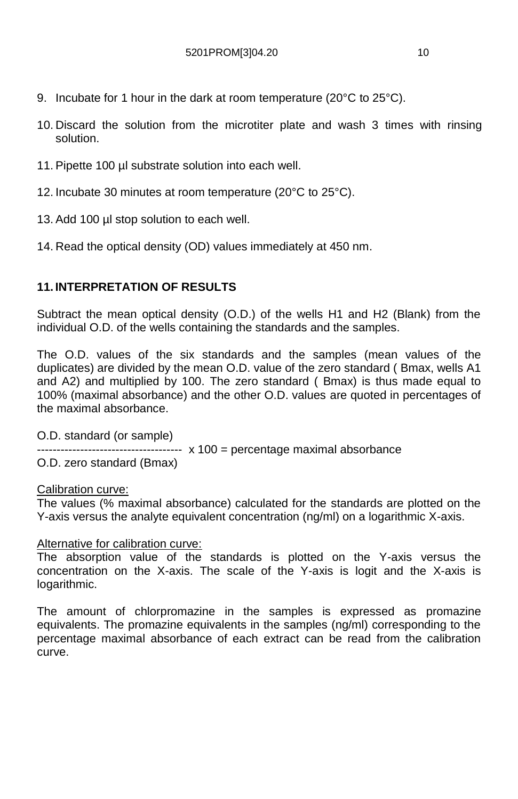- 9. Incubate for 1 hour in the dark at room temperature (20°C to 25°C).
- 10. Discard the solution from the microtiter plate and wash 3 times with rinsing solution.
- 11. Pipette 100 µl substrate solution into each well.
- 12. Incubate 30 minutes at room temperature (20°C to 25°C).
- 13. Add 100 µl stop solution to each well.
- 14. Read the optical density (OD) values immediately at 450 nm.

## **11. INTERPRETATION OF RESULTS**

Subtract the mean optical density (O.D.) of the wells H1 and H2 (Blank) from the individual O.D. of the wells containing the standards and the samples.

The O.D. values of the six standards and the samples (mean values of the duplicates) are divided by the mean O.D. value of the zero standard ( Bmax, wells A1 and A2) and multiplied by 100. The zero standard ( Bmax) is thus made equal to 100% (maximal absorbance) and the other O.D. values are quoted in percentages of the maximal absorbance.

O.D. standard (or sample)

 $-- -- -- -- -- x 100 =$  percentage maximal absorbance

O.D. zero standard (Bmax)

Calibration curve:

The values (% maximal absorbance) calculated for the standards are plotted on the Y-axis versus the analyte equivalent concentration (ng/ml) on a logarithmic X-axis.

#### Alternative for calibration curve:

The absorption value of the standards is plotted on the Y-axis versus the concentration on the X-axis. The scale of the Y-axis is logit and the X-axis is logarithmic.

The amount of chlorpromazine in the samples is expressed as promazine equivalents. The promazine equivalents in the samples (ng/ml) corresponding to the percentage maximal absorbance of each extract can be read from the calibration curve.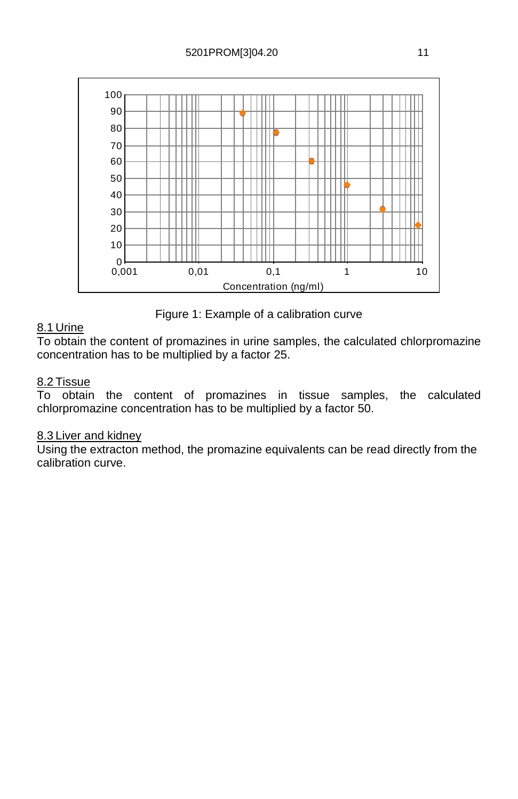

Figure 1: Example of a calibration curve

## 8.1 Urine

To obtain the content of promazines in urine samples, the calculated chlorpromazine concentration has to be multiplied by a factor 25.

#### 8.2 Tissue

To obtain the content of promazines in tissue samples, the calculated chlorpromazine concentration has to be multiplied by a factor 50.

#### 8.3 Liver and kidney

Using the extracton method, the promazine equivalents can be read directly from the calibration curve.